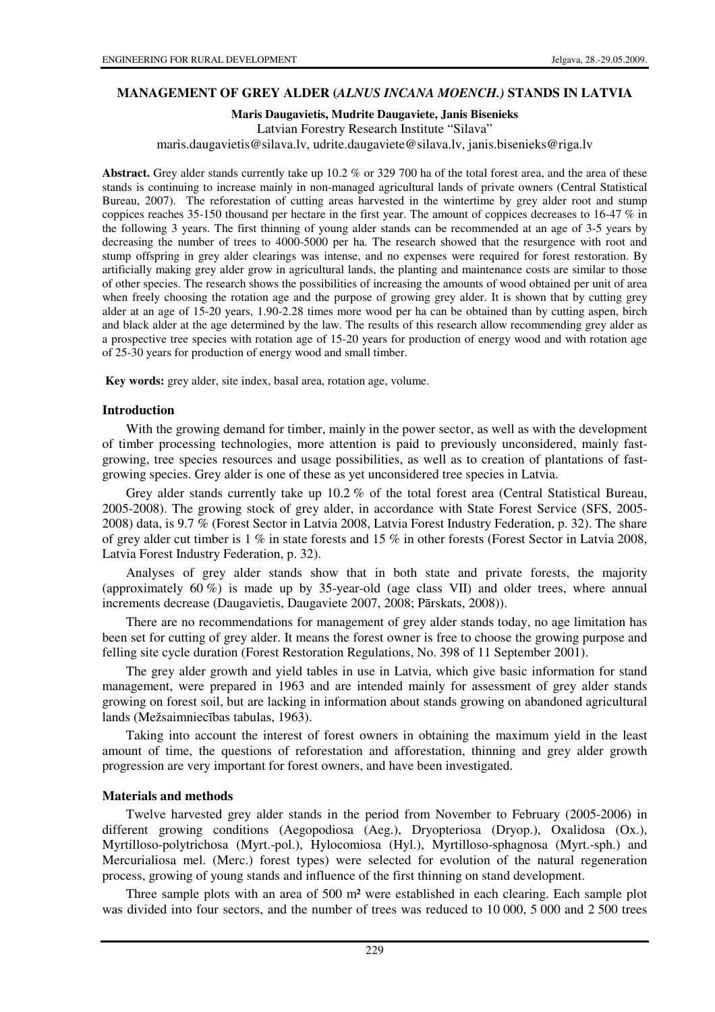## **MANAGEMENT OF GREY ALDER (***ALNUS INCANA MOENCH.)* **STANDS IN LATVIA**

#### **Maris Daugavietis, Mudrite Daugaviete, Janis Bisenieks**

Latvian Forestry Research Institute "Silava"

maris.daugavietis@silava.lv, udrite.daugaviete@silava.lv, janis.bisenieks@riga.lv

**Abstract.** Grey alder stands currently take up 10.2 % or 329 700 ha of the total forest area, and the area of these stands is continuing to increase mainly in non-managed agricultural lands of private owners (Central Statistical Bureau, 2007). The reforestation of cutting areas harvested in the wintertime by grey alder root and stump coppices reaches 35-150 thousand per hectare in the first year. The amount of coppices decreases to 16-47 % in the following 3 years. The first thinning of young alder stands can be recommended at an age of 3-5 years by decreasing the number of trees to 4000-5000 per ha. The research showed that the resurgence with root and stump offspring in grey alder clearings was intense, and no expenses were required for forest restoration. By artificially making grey alder grow in agricultural lands, the planting and maintenance costs are similar to those of other species. The research shows the possibilities of increasing the amounts of wood obtained per unit of area when freely choosing the rotation age and the purpose of growing grey alder. It is shown that by cutting grey alder at an age of 15-20 years, 1.90-2.28 times more wood per ha can be obtained than by cutting aspen, birch and black alder at the age determined by the law. The results of this research allow recommending grey alder as a prospective tree species with rotation age of 15-20 years for production of energy wood and with rotation age of 25-30 years for production of energy wood and small timber.

**Key words:** grey alder, site index, basal area, rotation age, volume.

### **Introduction**

With the growing demand for timber, mainly in the power sector, as well as with the development of timber processing technologies, more attention is paid to previously unconsidered, mainly fastgrowing, tree species resources and usage possibilities, as well as to creation of plantations of fastgrowing species. Grey alder is one of these as yet unconsidered tree species in Latvia.

Grey alder stands currently take up 10.2 % of the total forest area (Central Statistical Bureau, 2005-2008). The growing stock of grey alder, in accordance with State Forest Service (SFS, 2005- 2008) data, is 9.7 % (Forest Sector in Latvia 2008, Latvia Forest Industry Federation, p. 32). The share of grey alder cut timber is 1 % in state forests and 15 % in other forests (Forest Sector in Latvia 2008, Latvia Forest Industry Federation, p. 32).

Analyses of grey alder stands show that in both state and private forests, the majority (approximately 60 %) is made up by 35-year-old (age class VII) and older trees, where annual increments decrease (Daugavietis, Daugaviete 2007, 2008; Pārskats, 2008)).

There are no recommendations for management of grey alder stands today, no age limitation has been set for cutting of grey alder. It means the forest owner is free to choose the growing purpose and felling site cycle duration (Forest Restoration Regulations, No. 398 of 11 September 2001).

The grey alder growth and yield tables in use in Latvia, which give basic information for stand management, were prepared in 1963 and are intended mainly for assessment of grey alder stands growing on forest soil, but are lacking in information about stands growing on abandoned agricultural lands (Mežsaimniecības tabulas, 1963).

Taking into account the interest of forest owners in obtaining the maximum yield in the least amount of time, the questions of reforestation and afforestation, thinning and grey alder growth progression are very important for forest owners, and have been investigated.

### **Materials and methods**

Twelve harvested grey alder stands in the period from November to February (2005-2006) in different growing conditions (Aegopodiosa (Aeg.), Dryopteriosa (Dryop.), Oxalidosa (Ox.), Myrtilloso-polytrichosa (Myrt.-pol.), Hylocomiosa (Hyl.), Myrtilloso-sphagnosa (Myrt.-sph.) and Mercurialiosa mel. (Merc.) forest types) were selected for evolution of the natural regeneration process, growing of young stands and influence of the first thinning on stand development.

Three sample plots with an area of 500 m² were established in each clearing. Each sample plot was divided into four sectors, and the number of trees was reduced to 10 000, 5 000 and 2 500 trees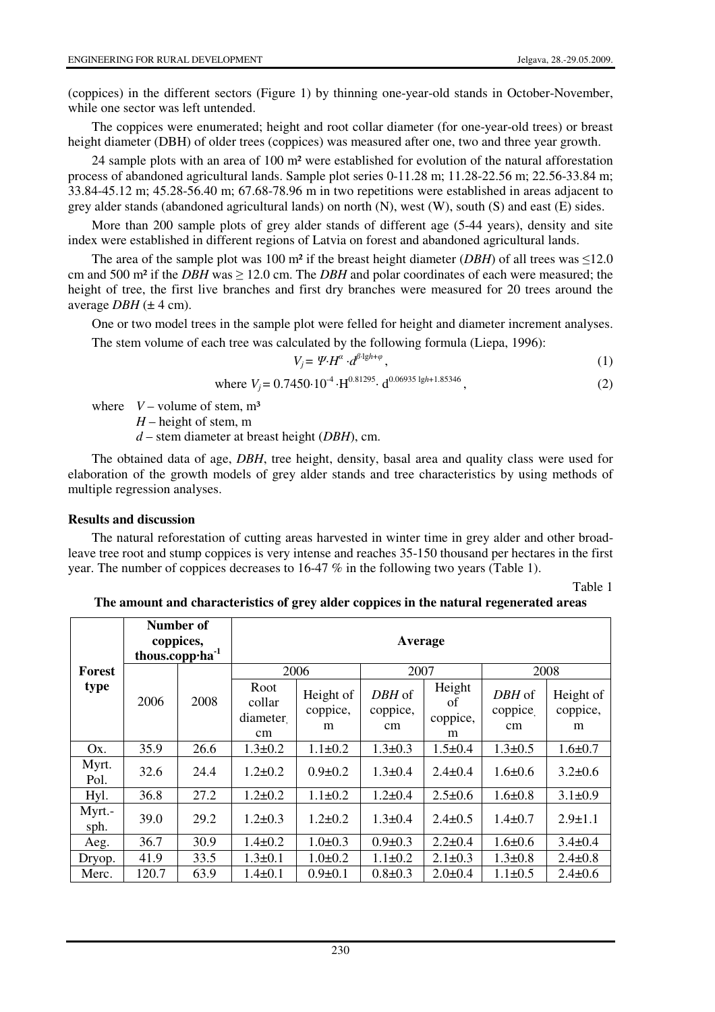(coppices) in the different sectors (Figure 1) by thinning one-year-old stands in October-November, while one sector was left untended.

The coppices were enumerated; height and root collar diameter (for one-year-old trees) or breast height diameter (DBH) of older trees (coppices) was measured after one, two and three year growth.

24 sample plots with an area of 100 m² were established for evolution of the natural afforestation process of abandoned agricultural lands. Sample plot series 0-11.28 m; 11.28-22.56 m; 22.56-33.84 m; 33.84-45.12 m; 45.28-56.40 m; 67.68-78.96 m in two repetitions were established in areas adjacent to grey alder stands (abandoned agricultural lands) on north (N), west (W), south (S) and east (E) sides.

More than 200 sample plots of grey alder stands of different age (5-44 years), density and site index were established in different regions of Latvia on forest and abandoned agricultural lands.

The area of the sample plot was 100 m<sup>2</sup> if the breast height diameter (*DBH*) of all trees was  $\leq$ 12.0 cm and 500 m<sup>2</sup> if the *DBH* was  $\geq$  12.0 cm. The *DBH* and polar coordinates of each were measured; the height of tree, the first live branches and first dry branches were measured for 20 trees around the average  $DBH \,(\pm 4 \text{ cm})$ .

One or two model trees in the sample plot were felled for height and diameter increment analyses. The stem volume of each tree was calculated by the following formula (Liepa, 1996):

$$
V_j = \Psi \cdot d^{\beta \cdot 1gh + \varphi},\tag{1}
$$

where 
$$
V_j = 0.7450 \cdot 10^{-4} \cdot H^{0.81295} \cdot d^{0.06935 \lg h + 1.85346}
$$
, (2)

where  $V -$  volume of stem,  $m<sup>3</sup>$ 

*H* – height of stem, m

*d* – stem diameter at breast height (*DBH*), cm.

The obtained data of age, *DBH*, tree height, density, basal area and quality class were used for elaboration of the growth models of grey alder stands and tree characteristics by using methods of multiple regression analyses.

### **Results and discussion**

The natural reforestation of cutting areas harvested in winter time in grey alder and other broadleave tree root and stump coppices is very intense and reaches 35-150 thousand per hectares in the first year. The number of coppices decreases to 16-47 % in the following two years (Table 1).

Table 1

|                       | Number of<br>coppices,<br>thous.copp.ha <sup>-1</sup> |      | Average                                |                            |                          |                               |                               |                            |  |  |
|-----------------------|-------------------------------------------------------|------|----------------------------------------|----------------------------|--------------------------|-------------------------------|-------------------------------|----------------------------|--|--|
| <b>Forest</b><br>type |                                                       |      |                                        |                            |                          |                               |                               |                            |  |  |
|                       |                                                       | 2008 | 2006                                   |                            | 2007                     |                               | 2008                          |                            |  |  |
|                       | 2006                                                  |      | Root<br>collar<br>diameter<br>$\rm cm$ | Height of<br>coppice,<br>m | DBH of<br>coppice,<br>cm | Height<br>of<br>coppice,<br>m | DBH of<br>coppice<br>$\rm cm$ | Height of<br>coppice,<br>m |  |  |
| Ox.                   | 35.9                                                  | 26.6 | $1.3 \pm 0.2$                          | $1.1 \pm 0.2$              | $1.3 \pm 0.3$            | $1.5 \pm 0.4$                 | $1.3 \pm 0.5$                 | $1.6 \pm 0.7$              |  |  |
| Myrt.<br>Pol.         | 32.6                                                  | 24.4 | $1.2 \pm 0.2$                          | $0.9 \pm 0.2$              | $1.3 \pm 0.4$            | $2.4 \pm 0.4$                 | $1.6 \pm 0.6$                 | $3.2 \pm 0.6$              |  |  |
| Hyl.                  | 36.8                                                  | 27.2 | $1.2 \pm 0.2$                          | $1.1 \pm 0.2$              | $1.2 \pm 0.4$            | $2.5 \pm 0.6$                 | $1.6 \pm 0.8$                 | $3.1 \pm 0.9$              |  |  |
| Myrt.-<br>sph.        | 39.0                                                  | 29.2 | $1.2 \pm 0.3$                          | $1.2 \pm 0.2$              | $1.3 \pm 0.4$            | $2.4 \pm 0.5$                 | $1.4 \pm 0.7$                 | $2.9 \pm 1.1$              |  |  |
| Aeg.                  | 36.7                                                  | 30.9 | $1.4 \pm 0.2$                          | $1.0 \pm 0.3$              | $0.9 \pm 0.3$            | $2.2 \pm 0.4$                 | $1.6 \pm 0.6$                 | $3.4 \pm 0.4$              |  |  |
| Dryop.                | 41.9                                                  | 33.5 | $1.3 \pm 0.1$                          | $1.0 \pm 0.2$              | $1.1 \pm 0.2$            | $2.1 \pm 0.3$                 | $1.3 \pm 0.8$                 | $2.4 \pm 0.8$              |  |  |
| Merc.                 | 120.7                                                 | 63.9 | $1.4 \pm 0.1$                          | $0.9 \pm 0.1$              | $0.8 \pm 0.3$            | $2.0 \pm 0.4$                 | $1.1 \pm 0.5$                 | $2.4 \pm 0.6$              |  |  |

**The amount and characteristics of grey alder coppices in the natural regenerated areas**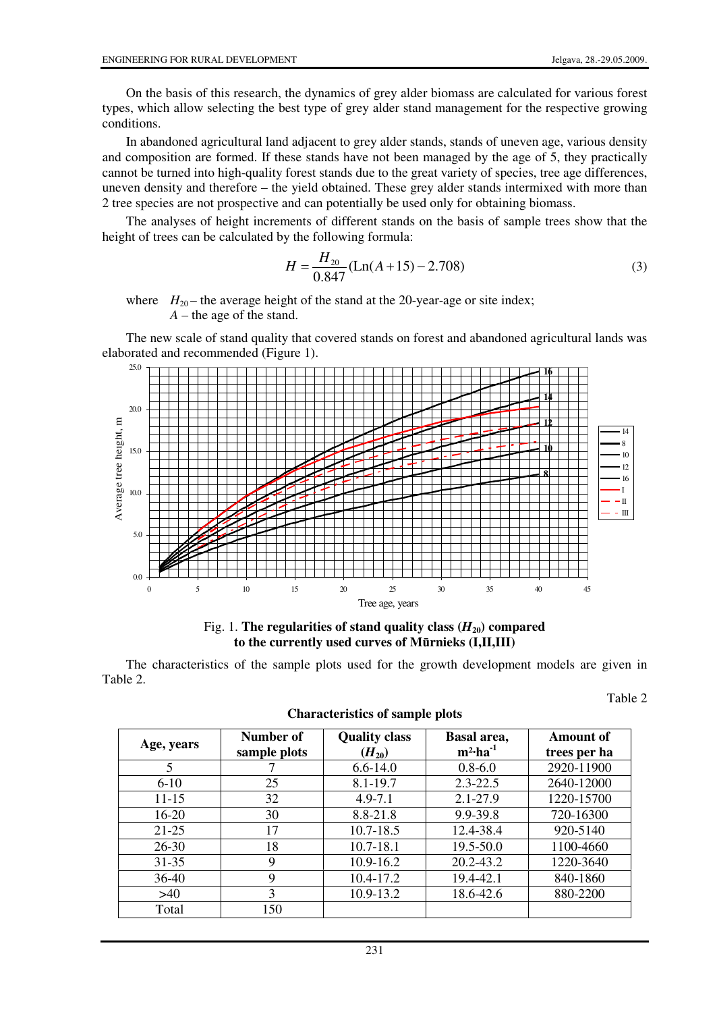On the basis of this research, the dynamics of grey alder biomass are calculated for various forest types, which allow selecting the best type of grey alder stand management for the respective growing conditions.

In abandoned agricultural land adjacent to grey alder stands, stands of uneven age, various density and composition are formed. If these stands have not been managed by the age of 5, they practically cannot be turned into high-quality forest stands due to the great variety of species, tree age differences, uneven density and therefore – the yield obtained. These grey alder stands intermixed with more than 2 tree species are not prospective and can potentially be used only for obtaining biomass.

The analyses of height increments of different stands on the basis of sample trees show that the height of trees can be calculated by the following formula:

$$
H = \frac{H_{20}}{0.847} (\text{Ln}(A+15) - 2.708)
$$
 (3)

where  $H_{20}$  – the average height of the stand at the 20-year-age or site index; *A* – the age of the stand.

The new scale of stand quality that covered stands on forest and abandoned agricultural lands was elaborated and recommended (Figure 1).





The characteristics of the sample plots used for the growth development models are given in Table 2.

| Age, years | Number of<br>sample plots | <b>Quality class</b><br>$(H_{20})$ | Basal area,<br>$m^2$ -ha <sup>-1</sup> | Amount of<br>trees per ha |  |
|------------|---------------------------|------------------------------------|----------------------------------------|---------------------------|--|
| 5          |                           | $6.6 - 14.0$                       | $0.8 - 6.0$                            | 2920-11900                |  |
| $6-10$     | 25                        | 8.1-19.7                           | $2.3 - 22.5$                           | 2640-12000                |  |
| $11 - 15$  | 32                        | $4.9 - 7.1$                        | $2.1 - 27.9$                           | 1220-15700                |  |
| $16-20$    | 30                        | 8.8-21.8                           | 9.9-39.8                               | 720-16300                 |  |
| $21 - 25$  | 17                        | $10.7 - 18.5$                      | 12.4-38.4                              | 920-5140                  |  |
| $26 - 30$  | 18                        | $10.7 - 18.1$                      | $19.5 - 50.0$                          | 1100-4660                 |  |
| $31 - 35$  | 9                         | $10.9 - 16.2$                      | 20.2-43.2                              | 1220-3640                 |  |
| $36-40$    | 9                         | $10.4 - 17.2$                      | 19.4-42.1                              | 840-1860                  |  |
| $>40$      | 3                         | 10.9-13.2                          | 18.6-42.6                              | 880-2200                  |  |
| Total      | 150                       |                                    |                                        |                           |  |

Table 2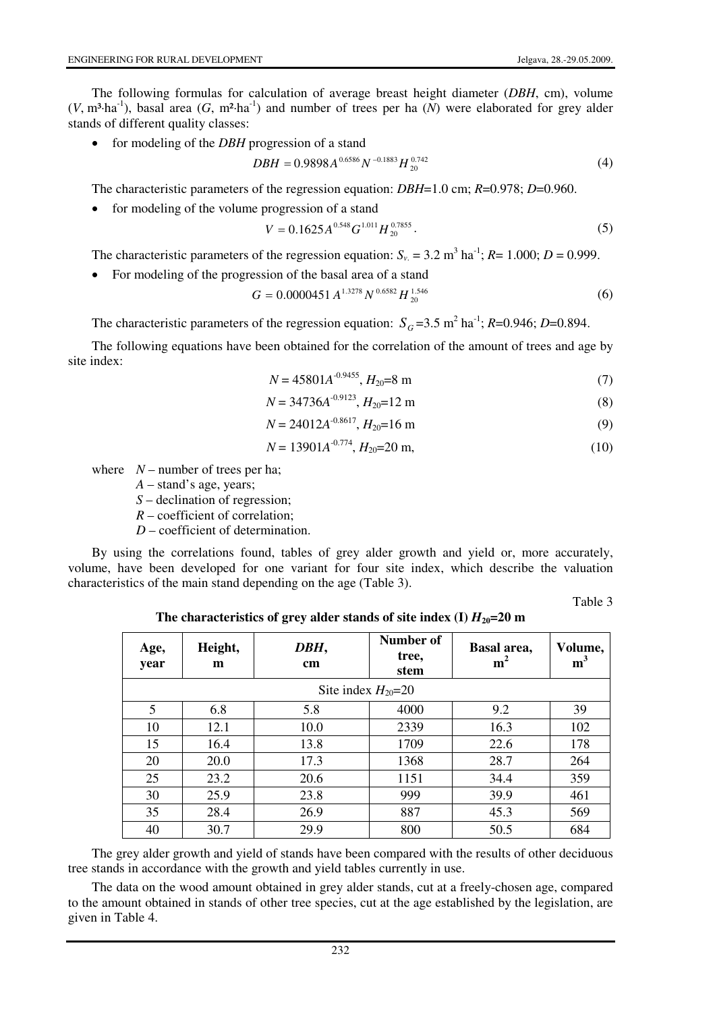The following formulas for calculation of average breast height diameter (*DBH*, cm), volume  $(V, m<sup>3</sup>·ha<sup>-1</sup>)$ , basal area  $(G, m<sup>2</sup>·ha<sup>-1</sup>)$  and number of trees per ha  $(N)$  were elaborated for grey alder stands of different quality classes:

• for modeling of the *DBH* progression of a stand

$$
DBH = 0.9898A^{0.6586}N^{-0.1883}H_{20}^{0.742}
$$
 (4)

The characteristic parameters of the regression equation: *DBH*=1.0 cm; *R*=0.978; *D*=0.960.

• for modeling of the volume progression of a stand

$$
V = 0.1625A^{0.548}G^{1.011}H_{20}^{0.7855}.
$$
\n(5)

The characteristic parameters of the regression equation:  $S_v = 3.2 \text{ m}^3 \text{ ha}^{-1}$ ;  $R = 1.000$ ;  $D = 0.999$ .

• For modeling of the progression of the basal area of a stand

$$
G = 0.0000451 A^{1.3278} N^{0.6582} H_{20}^{1.546}
$$
 (6)

The characteristic parameters of the regression equation:  $S_G$  =3.5 m<sup>2</sup> ha<sup>-1</sup>; *R*=0.946; *D*=0.894.

The following equations have been obtained for the correlation of the amount of trees and age by site index:

$$
N = 45801A^{-0.9455}, H_{20} = 8 \text{ m}
$$
 (7)

$$
N = 34736A^{-0.9123}, H_{20} = 12 \text{ m}
$$
 (8)

$$
N = 24012A^{-0.8617}, H_{20} = 16 \text{ m}
$$
 (9)

$$
N = 13901A^{-0.774}, H_{20} = 20 \text{ m},\tag{10}
$$

where  $N$  – number of trees per ha;

- *A* stand's age, years;
- *S* declination of regression;
- *R* coefficient of correlation;
- *D* coefficient of determination.

By using the correlations found, tables of grey alder growth and yield or, more accurately, volume, have been developed for one variant for four site index, which describe the valuation characteristics of the main stand depending on the age (Table 3).

Table 3

| Age,<br>year            | Height,<br>m | DBH,<br>cm | Number of<br>tree,<br>stem | Basal area,<br>m <sup>2</sup> | Volume,<br>m <sup>3</sup> |  |  |  |  |  |
|-------------------------|--------------|------------|----------------------------|-------------------------------|---------------------------|--|--|--|--|--|
| Site index $H_{20}$ =20 |              |            |                            |                               |                           |  |  |  |  |  |
| 5                       | 6.8          | 5.8        | 4000                       | 9.2                           | 39                        |  |  |  |  |  |
| 10                      | 12.1         | 10.0       | 2339                       | 16.3                          | 102                       |  |  |  |  |  |
| 15                      | 16.4         | 13.8       | 1709                       | 22.6                          | 178                       |  |  |  |  |  |
| 20                      | 20.0         | 17.3       | 1368                       | 28.7                          | 264                       |  |  |  |  |  |
| 25                      | 23.2         | 20.6       | 1151                       | 34.4                          | 359                       |  |  |  |  |  |
| 30                      | 25.9         | 23.8       | 999                        | 39.9                          | 461                       |  |  |  |  |  |
| 35                      | 28.4         | 26.9       | 887                        | 45.3                          | 569                       |  |  |  |  |  |
| 40                      | 30.7         | 29.9       | 800                        | 50.5                          | 684                       |  |  |  |  |  |

The characteristics of grey alder stands of site index (I)  $H_{20}$ =20 m

The grey alder growth and yield of stands have been compared with the results of other deciduous tree stands in accordance with the growth and yield tables currently in use.

The data on the wood amount obtained in grey alder stands, cut at a freely-chosen age, compared to the amount obtained in stands of other tree species, cut at the age established by the legislation, are given in Table 4.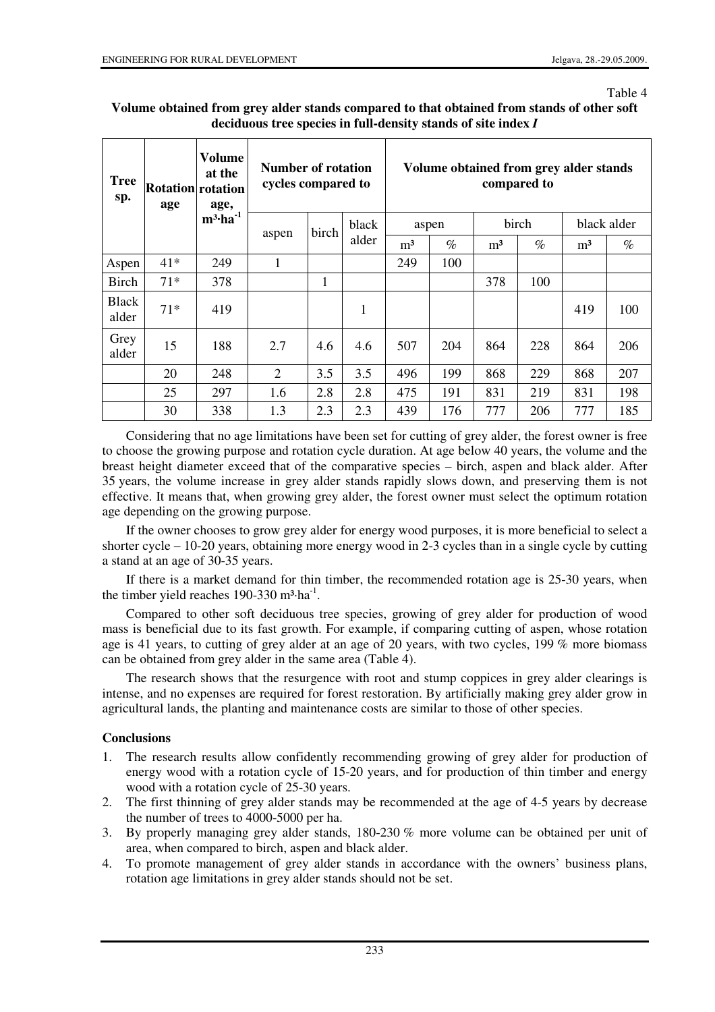#### Table 4

### **Volume obtained from grey alder stands compared to that obtained from stands of other soft deciduous tree species in full-density stands of site index** *I*

| <b>Tree</b><br>sp.    | <b>Rotation</b> rotation<br>age | Volume<br>at the<br>age,<br>$m^3$ -ha <sup>-1</sup> | Number of rotation<br>cycles compared to |       |                | Volume obtained from grey alder stands<br>compared to |      |                |      |             |      |
|-----------------------|---------------------------------|-----------------------------------------------------|------------------------------------------|-------|----------------|-------------------------------------------------------|------|----------------|------|-------------|------|
|                       |                                 |                                                     | aspen                                    | birch | black<br>alder | aspen                                                 |      | birch          |      | black alder |      |
|                       |                                 |                                                     |                                          |       |                | m <sup>3</sup>                                        | $\%$ | m <sup>3</sup> | $\%$ | $\rm m^3$   | $\%$ |
| Aspen                 | $41*$                           | 249                                                 | 1                                        |       |                | 249                                                   | 100  |                |      |             |      |
| <b>Birch</b>          | $71*$                           | 378                                                 |                                          | 1     |                |                                                       |      | 378            | 100  |             |      |
| <b>Black</b><br>alder | $71*$                           | 419                                                 |                                          |       | 1              |                                                       |      |                |      | 419         | 100  |
| Grey<br>alder         | 15                              | 188                                                 | 2.7                                      | 4.6   | 4.6            | 507                                                   | 204  | 864            | 228  | 864         | 206  |
|                       | 20                              | 248                                                 | 2                                        | 3.5   | 3.5            | 496                                                   | 199  | 868            | 229  | 868         | 207  |
|                       | 25                              | 297                                                 | 1.6                                      | 2.8   | 2.8            | 475                                                   | 191  | 831            | 219  | 831         | 198  |
|                       | 30                              | 338                                                 | 1.3                                      | 2.3   | 2.3            | 439                                                   | 176  | 777            | 206  | 777         | 185  |

Considering that no age limitations have been set for cutting of grey alder, the forest owner is free to choose the growing purpose and rotation cycle duration. At age below 40 years, the volume and the breast height diameter exceed that of the comparative species – birch, aspen and black alder. After 35 years, the volume increase in grey alder stands rapidly slows down, and preserving them is not effective. It means that, when growing grey alder, the forest owner must select the optimum rotation age depending on the growing purpose.

If the owner chooses to grow grey alder for energy wood purposes, it is more beneficial to select a shorter cycle – 10-20 years, obtaining more energy wood in 2-3 cycles than in a single cycle by cutting a stand at an age of 30-35 years.

If there is a market demand for thin timber, the recommended rotation age is 25-30 years, when the timber yield reaches  $190-330 \text{ m}^3 \cdot \text{ha}^{-1}$ .

Compared to other soft deciduous tree species, growing of grey alder for production of wood mass is beneficial due to its fast growth. For example, if comparing cutting of aspen, whose rotation age is 41 years, to cutting of grey alder at an age of 20 years, with two cycles, 199 % more biomass can be obtained from grey alder in the same area (Table 4).

The research shows that the resurgence with root and stump coppices in grey alder clearings is intense, and no expenses are required for forest restoration. By artificially making grey alder grow in agricultural lands, the planting and maintenance costs are similar to those of other species.

# **Conclusions**

- 1. The research results allow confidently recommending growing of grey alder for production of energy wood with a rotation cycle of 15-20 years, and for production of thin timber and energy wood with a rotation cycle of 25-30 years.
- 2. The first thinning of grey alder stands may be recommended at the age of 4-5 years by decrease the number of trees to 4000-5000 per ha.
- 3. By properly managing grey alder stands, 180-230 % more volume can be obtained per unit of area, when compared to birch, aspen and black alder.
- 4. To promote management of grey alder stands in accordance with the owners' business plans, rotation age limitations in grey alder stands should not be set.